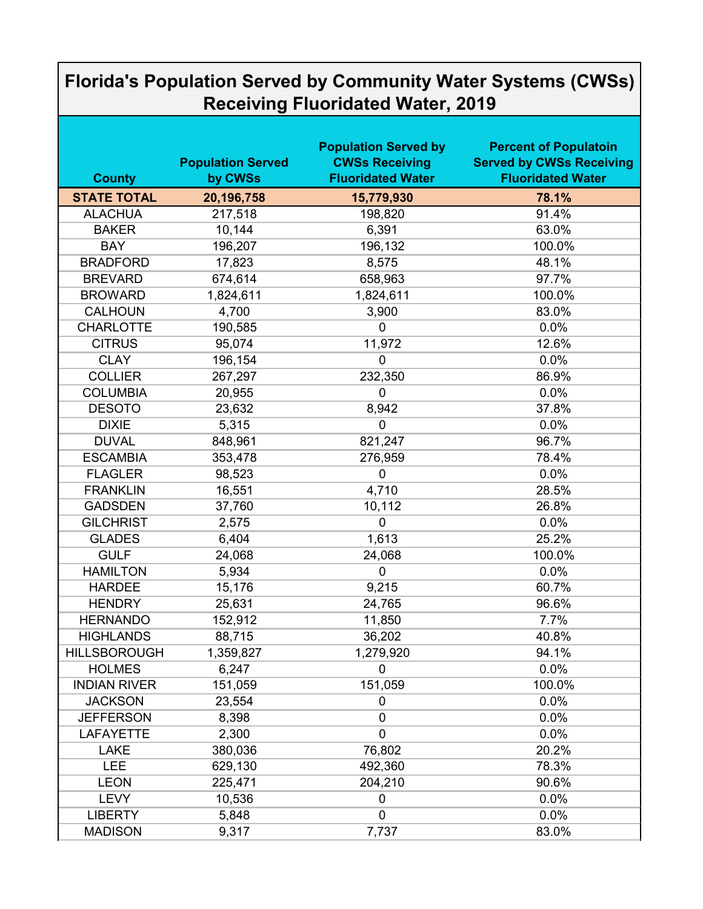## **Florida's Population Served by Community Water Systems (CWSs) Receiving Fluoridated Water, 2019**

| <b>County</b>       | <b>Population Served</b><br>by CWSs | <b>Population Served by</b><br><b>CWSs Receiving</b><br><b>Fluoridated Water</b> | <b>Percent of Populatoin</b><br><b>Served by CWSs Receiving</b><br><b>Fluoridated Water</b> |
|---------------------|-------------------------------------|----------------------------------------------------------------------------------|---------------------------------------------------------------------------------------------|
| <b>STATE TOTAL</b>  | 20,196,758                          | 15,779,930                                                                       | 78.1%                                                                                       |
| <b>ALACHUA</b>      | 217,518                             | 198,820                                                                          | 91.4%                                                                                       |
| <b>BAKER</b>        | 10,144                              | 6,391                                                                            | 63.0%                                                                                       |
| <b>BAY</b>          | 196,207                             | 196,132                                                                          | 100.0%                                                                                      |
| <b>BRADFORD</b>     | 17,823                              | 8,575                                                                            | 48.1%                                                                                       |
| <b>BREVARD</b>      | 674,614                             | 658,963                                                                          | 97.7%                                                                                       |
| <b>BROWARD</b>      | 1,824,611                           | 1,824,611                                                                        | 100.0%                                                                                      |
| <b>CALHOUN</b>      | 4,700                               | 3,900                                                                            | 83.0%                                                                                       |
| <b>CHARLOTTE</b>    | 190,585                             | $\overline{0}$                                                                   | 0.0%                                                                                        |
| <b>CITRUS</b>       | 95,074                              | 11,972                                                                           | 12.6%                                                                                       |
| <b>CLAY</b>         | 196,154                             | $\mathbf 0$                                                                      | 0.0%                                                                                        |
| <b>COLLIER</b>      | 267,297                             | 232,350                                                                          | 86.9%                                                                                       |
| <b>COLUMBIA</b>     | 20,955                              | $\overline{0}$                                                                   | 0.0%                                                                                        |
| <b>DESOTO</b>       | 23,632                              | 8,942                                                                            | 37.8%                                                                                       |
| <b>DIXIE</b>        | 5,315                               | $\overline{0}$                                                                   | 0.0%                                                                                        |
| <b>DUVAL</b>        | 848,961                             | 821,247                                                                          | 96.7%                                                                                       |
| <b>ESCAMBIA</b>     | 353,478                             | 276,959                                                                          | 78.4%                                                                                       |
| <b>FLAGLER</b>      | 98,523                              | $\mathbf 0$                                                                      | 0.0%                                                                                        |
| <b>FRANKLIN</b>     | 16,551                              | 4,710                                                                            | 28.5%                                                                                       |
| <b>GADSDEN</b>      | 37,760                              | 10,112                                                                           | 26.8%                                                                                       |
| <b>GILCHRIST</b>    | 2,575                               | $\mathbf 0$                                                                      | 0.0%                                                                                        |
| <b>GLADES</b>       | 6,404                               | 1,613                                                                            | 25.2%                                                                                       |
| <b>GULF</b>         | 24,068                              | 24,068                                                                           | 100.0%                                                                                      |
| <b>HAMILTON</b>     | 5,934                               | $\mathbf 0$                                                                      | 0.0%                                                                                        |
| <b>HARDEE</b>       | 15,176                              | 9,215                                                                            | 60.7%                                                                                       |
| <b>HENDRY</b>       | 25,631                              | 24,765                                                                           | 96.6%                                                                                       |
| <b>HERNANDO</b>     | 152,912                             | 11,850                                                                           | 7.7%                                                                                        |
| <b>HIGHLANDS</b>    | 88,715                              | 36,202                                                                           | 40.8%                                                                                       |
| <b>HILLSBOROUGH</b> | 1,359,827                           | 1,279,920                                                                        | 94.1%                                                                                       |
| <b>HOLMES</b>       | 6,247                               | $\mathbf 0$                                                                      | 0.0%                                                                                        |
| <b>INDIAN RIVER</b> | 151,059                             | 151,059                                                                          | 100.0%                                                                                      |
| <b>JACKSON</b>      | 23,554                              | $\mathbf 0$                                                                      | 0.0%                                                                                        |
| <b>JEFFERSON</b>    | 8,398                               | $\pmb{0}$                                                                        | 0.0%                                                                                        |
| <b>LAFAYETTE</b>    | 2,300                               | $\mathbf 0$                                                                      | 0.0%                                                                                        |
| <b>LAKE</b>         | 380,036                             | 76,802                                                                           | 20.2%                                                                                       |
| <b>LEE</b>          | 629,130                             | 492,360                                                                          | 78.3%                                                                                       |
| <b>LEON</b>         | 225,471                             | 204,210                                                                          | 90.6%                                                                                       |
| <b>LEVY</b>         | 10,536                              | 0                                                                                | 0.0%                                                                                        |
| <b>LIBERTY</b>      | 5,848                               | $\mathbf 0$                                                                      | 0.0%                                                                                        |
| <b>MADISON</b>      | 9,317                               | 7,737                                                                            | 83.0%                                                                                       |